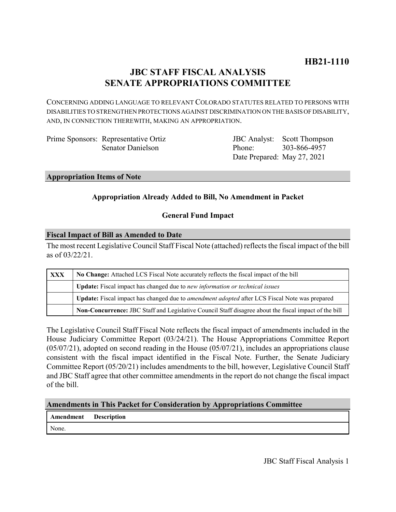# **JBC STAFF FISCAL ANALYSIS SENATE APPROPRIATIONS COMMITTEE**

CONCERNING ADDING LANGUAGE TO RELEVANT COLORADO STATUTES RELATED TO PERSONS WITH DISABILITIES TO STRENGTHEN PROTECTIONS AGAINST DISCRIMINATION ON THE BASIS OF DISABILITY, AND, IN CONNECTION THEREWITH, MAKING AN APPROPRIATION.

Prime Sponsors: Representative Ortiz Senator Danielson

JBC Analyst: Scott Thompson Phone: Date Prepared: May 27, 2021 303-866-4957

**Appropriation Items of Note**

# **Appropriation Already Added to Bill, No Amendment in Packet**

# **General Fund Impact**

### **Fiscal Impact of Bill as Amended to Date**

The most recent Legislative Council Staff Fiscal Note (attached) reflects the fiscal impact of the bill as of 03/22/21.

| <b>XXX</b> | No Change: Attached LCS Fiscal Note accurately reflects the fiscal impact of the bill                 |
|------------|-------------------------------------------------------------------------------------------------------|
|            | <b>Update:</b> Fiscal impact has changed due to new information or technical issues                   |
|            | Update: Fiscal impact has changed due to <i>amendment adopted</i> after LCS Fiscal Note was prepared  |
|            | Non-Concurrence: JBC Staff and Legislative Council Staff disagree about the fiscal impact of the bill |

The Legislative Council Staff Fiscal Note reflects the fiscal impact of amendments included in the House Judiciary Committee Report (03/24/21). The House Appropriations Committee Report (05/07/21), adopted on second reading in the House (05/07/21), includes an appropriations clause consistent with the fiscal impact identified in the Fiscal Note. Further, the Senate Judiciary Committee Report (05/20/21) includes amendments to the bill, however, Legislative Council Staff and JBC Staff agree that other committee amendments in the report do not change the fiscal impact of the bill.

# **Amendments in This Packet for Consideration by Appropriations Committee**

| <b>Amendment</b> Description |  |
|------------------------------|--|
| None.                        |  |